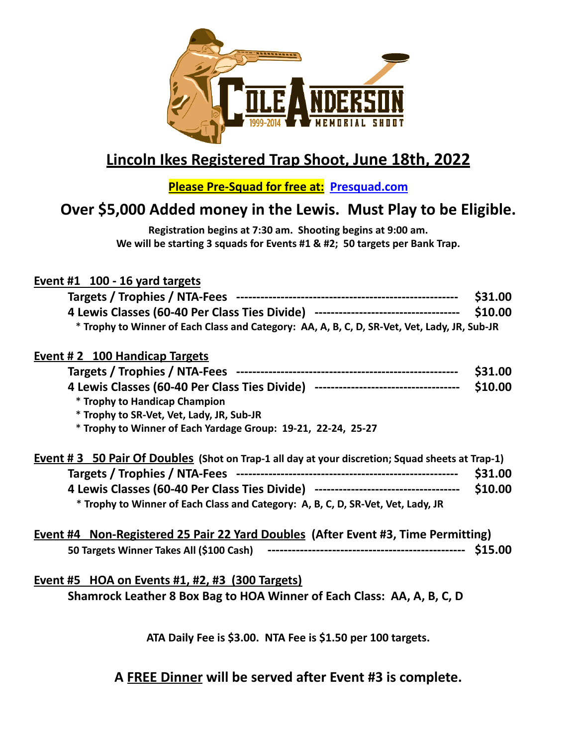

# **Lincoln Ikes Registered Trap Shoot, June 18th, 2022**

**Please Pre-Squad for free at: Presquad.com**

### **Over \$5,000 Added money in the Lewis. Must Play to be Eligible.**

**Registration begins at 7:30 am. Shooting begins at 9:00 am. We will be starting 3 squads for Events #1 & #2; 50 targets per Bank Trap.**

# **Event #1 100 - 16 yard targets**

|                                                                                                 | \$31.00 |
|-------------------------------------------------------------------------------------------------|---------|
| 4 Lewis Classes (60-40 Per Class Ties Divide) ----------------------------------                | \$10.00 |
| * Trophy to Winner of Each Class and Category: AA, A, B, C, D, SR-Vet, Vet, Lady, JR, Sub-JR    |         |
| <b>Event #2 100 Handicap Targets</b>                                                            |         |
|                                                                                                 | \$31.00 |
| 4 Lewis Classes (60-40 Per Class Ties Divide) ----------------------------------                | \$10.00 |
| * Trophy to Handicap Champion                                                                   |         |
| * Trophy to SR-Vet, Vet, Lady, JR, Sub-JR                                                       |         |
| * Trophy to Winner of Each Yardage Group: 19-21, 22-24, 25-27                                   |         |
|                                                                                                 |         |
| Event #3 50 Pair Of Doubles (Shot on Trap-1 all day at your discretion; Squad sheets at Trap-1) |         |
|                                                                                                 | \$31.00 |
| 4 Lewis Classes (60-40 Per Class Ties Divide) ----------------------------------                | \$10.00 |
| * Trophy to Winner of Each Class and Category: A, B, C, D, SR-Vet, Vet, Lady, JR                |         |
| Event #4 Non-Registered 25 Pair 22 Yard Doubles (After Event #3, Time Permitting)               |         |
|                                                                                                 |         |
| <b>Event #5 HOA on Events #1, #2, #3 (300 Targets)</b>                                          |         |
|                                                                                                 |         |
| Shamrock Leather 8 Box Bag to HOA Winner of Each Class: AA, A, B, C, D                          |         |

**ATA Daily Fee is \$3.00. NTA Fee is \$1.50 per 100 targets.**

**A FREE Dinner will be served after Event #3 is complete.**